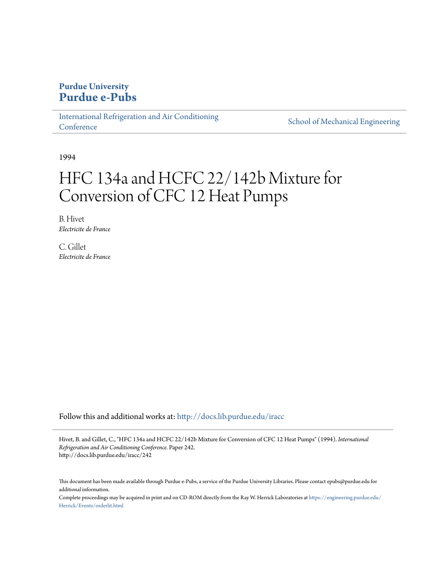# **Purdue University [Purdue e-Pubs](http://docs.lib.purdue.edu?utm_source=docs.lib.purdue.edu%2Firacc%2F242&utm_medium=PDF&utm_campaign=PDFCoverPages)**

[International Refrigeration and Air Conditioning](http://docs.lib.purdue.edu/iracc?utm_source=docs.lib.purdue.edu%2Firacc%2F242&utm_medium=PDF&utm_campaign=PDFCoverPages) **[Conference](http://docs.lib.purdue.edu/iracc?utm_source=docs.lib.purdue.edu%2Firacc%2F242&utm_medium=PDF&utm_campaign=PDFCoverPages)** 

[School of Mechanical Engineering](http://docs.lib.purdue.edu/me?utm_source=docs.lib.purdue.edu%2Firacc%2F242&utm_medium=PDF&utm_campaign=PDFCoverPages)

1994

# HFC 134a and HCFC 22/142b Mixture for Conversion of CFC 12 Heat Pumps

B. Hivet *Electricite de France*

C. Gillet *Electricite de France*

Follow this and additional works at: [http://docs.lib.purdue.edu/iracc](http://docs.lib.purdue.edu/iracc?utm_source=docs.lib.purdue.edu%2Firacc%2F242&utm_medium=PDF&utm_campaign=PDFCoverPages)

Hivet, B. and Gillet, C., "HFC 134a and HCFC 22/142b Mixture for Conversion of CFC 12 Heat Pumps" (1994). *International Refrigeration and Air Conditioning Conference.* Paper 242. http://docs.lib.purdue.edu/iracc/242

This document has been made available through Purdue e-Pubs, a service of the Purdue University Libraries. Please contact epubs@purdue.edu for additional information.

Complete proceedings may be acquired in print and on CD-ROM directly from the Ray W. Herrick Laboratories at [https://engineering.purdue.edu/](https://engineering.purdue.edu/Herrick/Events/orderlit.html) [Herrick/Events/orderlit.html](https://engineering.purdue.edu/Herrick/Events/orderlit.html)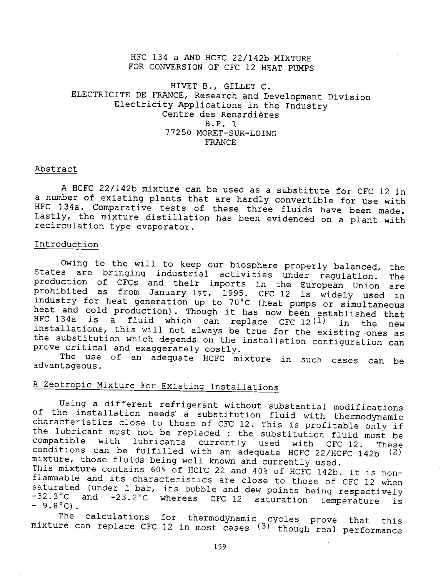### HFC 134 a AND HCFC 22/142b MIXTURE FOR CONVERSION OF CFC 12 HEAT PUMPS

### HIVET B., GILLET C. ELECTRICITE DE FRANCE, Research and Development Division Electricity Applications in the Industry Centre des Renardieres B. P. 1 77250 MORET-SUR-LOING FRANCE

#### Abstract

<sup>A</sup>HCFC 22/142b mixture can be used as a substitute for CFC 12 in <sup>a</sup>number of existing plants that are hardly convertible for use with HFC 134a. Comparative tests of these three fluids have been made. Lastly, the mixture distillation has been evidenced on a plant with recirculation type evaporator.

### Introduction

Owing to the will to keep our biosphere properly balanced, the states are bringing industrial activities under regulation. The production of CFCs and their imports in the European Union are prohibited as from January 1st, 1995. CFC 12 is widely used in industry for heat generation up to 70°C (heat pumps or simultaneous heat and cold production) . Though it has now been established that HFC 134a *is* a fluid which can replace CFC 12(1) in the new installations, this will not always be true for the existing ones as the substitution which depends on the installation configuration can prove critical and exaggerately costly.

The use of an adequate HCFC mixture in such cases can be advantageous.

# A Zeotropic Mixture For Existing Installations

Using a different refrigerant without substantial modifications of the installation needs' a substitution fluid with thermodynamic characteristics close to those of CFC 12. This is profitable only if the lubricant must not be replaced : the substitution fluid must be compatible with lubricants currently used with CFC 12. There lubricants currently used with CFC 12. These conditions can be fulfilled with an adequate HCFC 22/HCFC 142b (2) mixture, those fluids being well known and currently used.

This mixture contains 60% of HCFC 22 and 40% of HCFC 142b. It is nonflammable and its characteristics are close to those of CFC 12 when saturated (under 1 bar, its bubble and dew points being respectively -32.3°C and -23.2°C whereas CFC 12 saturation temperature is  $-9.8^{\circ}$ C).

The calculations for thermodynamic cycles prove that this mixture can replace CFC 12 in most cases (3) though real performance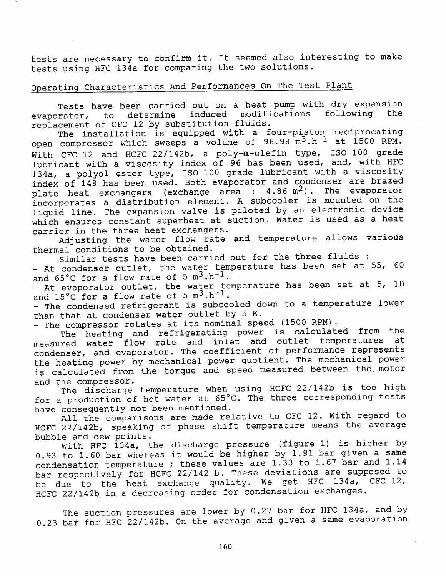tests are necessary to confirm it. It seemed also interesting to make tests using HFC l34a for comparing the two solutions.

# Operating Characteristics And Performances On The Test Plant

Tests have been carried out on <sup>a</sup>heat pump with dry expansion evaporator, to determine induced modifications following the replacement of CFC 12 by substitution fluids.

The installation is equipped with a four-piston reciprocating open compressor which sweeps a volume of  $96.98 \text{ m}^3 \cdot \text{h}^{-1}$  at 1500 RPM. With CFC 12 and HCFC 22/142b, a poly- $\alpha$ -olefin type, ISO 100 grade lubricant with a viscosity index of 96 has been used, and, with HFC 134a, a polyol ester type, ISO 100 grade lubricant with a viscosity index of 148 has been used. Both evaporator and condenser are brazed plate heat exchangers (exchange area :  $4.86$  m<sup>2</sup>). The evaporator incorporates a distribution element. A subcooler is mounted on the liquid line. The expansion valve is piloted by an electronic device which ensures constant superheat at suction. Water is used as a heat carrier in the three heat exchangers.

Adjusting the water flow rate and temperature allows various thermal conditions to be obtained.

Similar tests have been carried out for the three fluids :

- At condenser outlet, the water temperature has been set at 55, 60 and  $65^{\circ}$ C for a flow rate of  $5 \text{ m}^3 \cdot \text{h}^{-1}$ .

- At evaporator outlet, the water temperature has been set at 5, <sup>10</sup> and  $15^{\circ}$ C for a flow rate of 5  $m^3.h^{-1}$ .

----....<br>- The condensed refrigerant is subcooled down to a temperature lower than that at condenser water outlet by 5 K.

- The compressor rotates at its nominal speed (1500 RPM).

The heating and refrigerating power is calculated from the<br>ned unter flow rate and inlet and outlet temperatures at measured water flow rate and inlet and outlet temperatures condenser, and evaporator. The coefficient of performance represents the heating power by mechanical power quotient. The mechanical power is calculated from the torque and speed measured between the. motor and the compressor.

The discharge temperature when using HCFC 22/142b is too high for a production of hot water at 65°C. The three corresponding tests have consequently not been mentioned.

All the comparisons are made relative to CFC 12. With regard to HCFC 22/142b, speaking of phase shift temperature means the average bubble and dew points.

With HFC 134a, the discharge pressure (figure 1) is higher by 0.93 to 1.60 bar whereas it would be higher by  $1.91$  bar given a same condensation temperature ; these values are 1.33 to 1.67 bar and 1.14 bar respectively for HCFC 22/142 b. These deviations are supposed to be due to the heat exchange quality. We get HFC 134a, CFC 12, HCFC 22/142b in a decreasing order for condensation exchanges.

The suction pressures are lower by 0.27 bar for HFC 134a, and by 0.23 bar for HFC 22/142b. On the average and given a same evaporation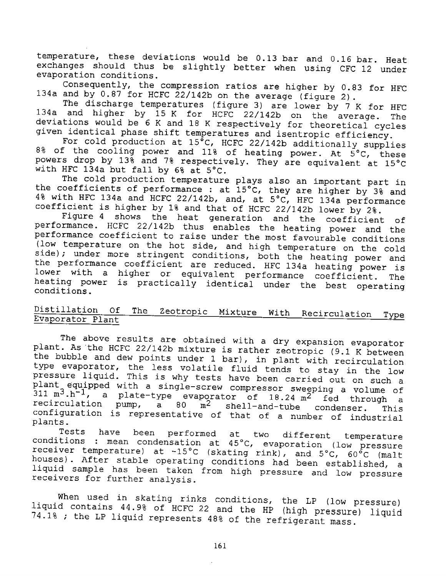temperature, these deviations would be 0.13 bar and 0.16 bar. Heat exchanges should thus be slightly better when using CFC 12 under evaporation conditions.

Consequently, the compression ratios are higher by 0.83 for HFC 134a and by  $0.87$  for HCFC 22/142b on the average (figure 2).

The discharge temperatures (figure 3) are lower by 7 K for HFC 134a and higher by lS K for HCFC 22/142b on the average. The deviations would be 6 K and 18 K respectively for theoretical cycles <sup>g</sup>iven identical phase shift temperatures and isentropic efficiency.

For cold production at 15°C, HCFC 22/142b additionally supplies 8% of the cooling power and 11% of heating power. At  $\bar{5}^{\circ}$ C, these powers drop by 13% and 7% respectively. They are equivalent at 1S°C with HFC 134a but fall by 6% at 5°C.

The cold production temperature plays also an important part in the coefficients of performance : at 1S°C, they are higher by 3% and 4% with HFC 134a and HCFC 22/142b, and, at S°C, HFC 134a performance coefficient is higher by 1% and that of HCFC 22/142b lower by 2%.

Figure 4 shows the heat generation and the coefficient of performance. HCFC 22/142b thus enables the heating power and the performance coefficient to raise under the most favourable conditions (low temperature on the hot side, and high temperature on the cold side); under more stringent conditions, both the heating power and the performance coefficient are reduced. HFC 134a heating power is lower with a higher or equivalent performance coefficient. The heating power is practically identical under the best operating conditions.

## Distillation Of The Zeotropic Mixture With Recirculation Type Evaporator Plant

The above results are obtained with a dry expansion evaporator plant. As the HCFC 22/142b mixture is rather zeotropic (9.1 K between the bubble and dew points under 1 bar), in plant with recirculation type evaporator, the less volatile fluid tends to stay in the low pressure liquid. This is why tests have been carried out on such a <sup>p</sup>lant equipped with a single-screw compressor sweeping a volume of  $311 \text{ m}^3 \cdot \text{h}^{-1}$ , a plate-type evaporator of 18.24 m<sup>2</sup> fed through a recirculation pump, a 80 m<sup>2</sup> shell-and-tube condenser. This recirculation pump, a  $80 \text{ m}^2$  shell-and-tube condenser. This configuration is representative of that of a number of industrial plants.

Tests have been performed at two different temperature conditions : mean condensation at 45°C, evaporation (low pressure receiver temperature) at  $-15^{\circ}$ C (skating rink), and  $5^{\circ}$ C,  $60^{\circ}$ C (malt houses) . After stable operating conditions had been established, <sup>a</sup> liquid sample has been taken from high pressure and low pressure receivers for further analysis.

When used in skating rinks conditions, the LP (low pressure) liquid contains 44.9% of HCFC 22 and the HP (high pressure) liquid 74.1% ; the LP liquid represents 48% of the refrigerant mass.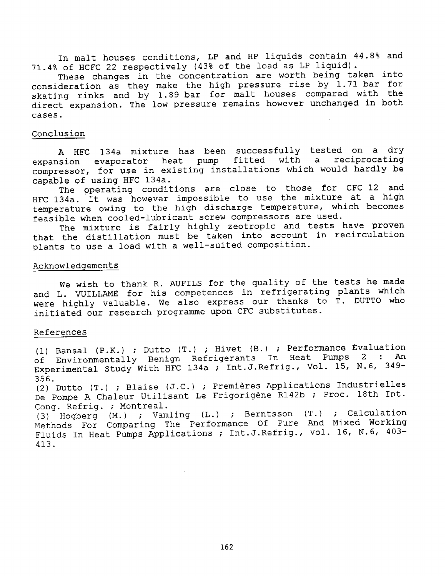In malt houses conditions, LP and HP liquids contain 44.8% and 71.4% of HCFC 22 respectively (43% of the load as LP liquid}.

These changes in the concentration are worth being taken into consideration as they make the high pressure rise by 1. 71 bar for skating rinks and by 1.89 bar for malt houses compared with the direct expansion. The low pressure remains however unchanged in both cases.

#### Conclusion

A HFC 134a mixture has been successfully tested on a dry expansion evaporator heat pump fitted with a reciprocating compressor, for use in existing installations which would hardly be capable of using HFC 134a.

The operating conditions are close to those for CFC 12 and HFC 134a. It was however impossible to use the mixture at a high temperature owing to the high discharge temperature, which becomes feasible when cooled-lubricant screw compressors are used.

The mixture is fairly highly zeotropic and tests have proven that the distillation must be taken into account in recirculation plants to use a load with a well-suited composition.

### Acknowledgements

We wish to thank R. AUFILS for the quality of the tests he made and L. VUILLAME for his competences in refrigerating plants which were highly valuable. We also express our thanks to T. DUTTO who initiated our research programme upon CFC substitutes.

### References

(1} Bansal (P.K.} ; Dutto (T.} ; Hivet (B.) ; Performance Evaluation of Environmentally Benign Refrigerants In Heat Pumps 2 : An Experimental Study With HFC 134a ; Int.J.Refrig., Vol. 15, N.6, 349-356.

(2) Dutto (T.} ; Blaise (J.C.) Premieres Applications Industrielles De Pompe A Chaleur Utilisant Le Frigorigène R142b ; Proc. 18th Int. Cong. Refrig. ; Montreal.

(3) Hogberg (M.) ; Vamling (L.) ; Berntsson (T.) ; Calculation Methods For Comparing The Performance Of Pure And Mixed Working Fluids In Heat Pumps Applications ; Int.J.Refrig., Vol. 16, N.6, 403-413.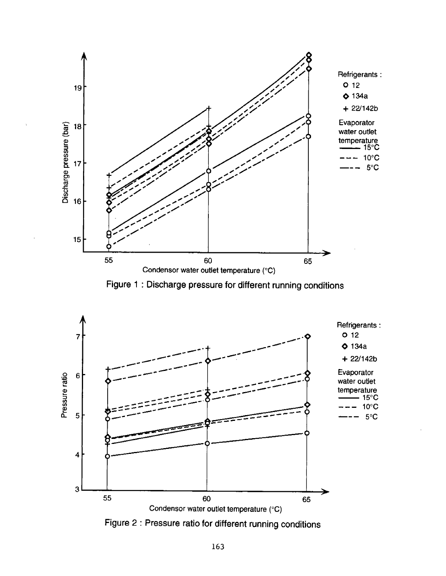

Figure 1 : Discharge pressure for different running conditions